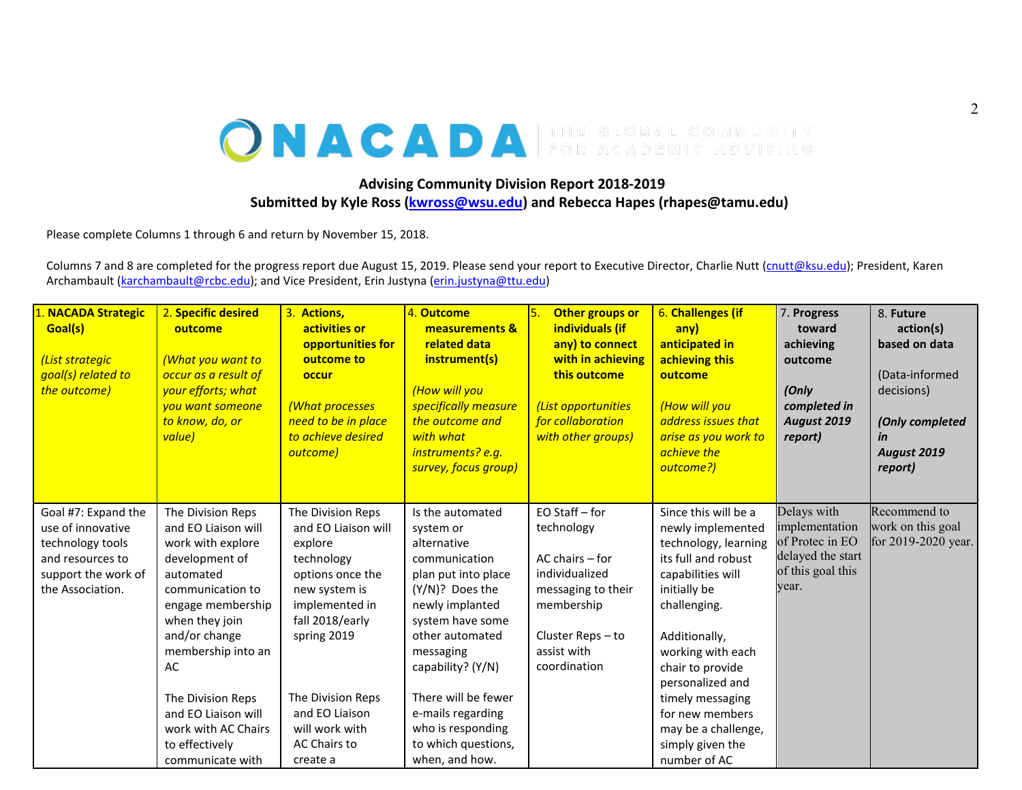## ONACADA FOR ACADEMIC ADVISING

## **Advising Community Division Report 2018-2019 Submitted by Kyle Ross [\(kwross@wsu.edu\)](mailto:kwross@wsu.edu) and Rebecca Hapes (rhapes@tamu.edu)**

Please complete Columns 1 through 6 and return by November 15, 2018.

Columns 7 and 8 are completed for the progress report due August 15, 2019. Please send your report to Executive Director, Charlie Nutt [\(cnutt@ksu.edu\)](mailto:cnutt@ksu.edu); President, Karen Archambault [\(karchambault@rcbc.edu\)](mailto:karchambault@rcbc.edu); and Vice President, Erin Justyna [\(erin.justyna@ttu.edu\)](mailto:erin.justyna@ttu.edu)

| 1. NACADA Strategic<br>Goal(s)<br>(List strategic<br>goal(s) related to<br>the outcome)                                     | 2. Specific desired<br>outcome<br>(What you want to<br>occur as a result of<br>your efforts; what<br>you want someone<br>to know, do, or<br>value)                                                                                                                                                            | 3. Actions,<br>activities or<br>opportunities for<br>outcome to<br>occur<br>(What processes<br>need to be in place<br>to achieve desired<br>outcome)                                                                                            | 4. Outcome<br>measurements &<br>related data<br>instrument(s)<br>(How will you<br>specifically measure<br>the outcome and<br>with what<br>instruments? e.g.<br>survey, focus group)                                                                                                                           | 5.<br>Other groups or<br>individuals (if<br>any) to connect<br>with in achieving<br>this outcome<br>(List opportunities<br>for collaboration<br>with other groups) | 6. Challenges (if<br>anv)<br>anticipated in<br>achieving this<br>outcome<br>(How will you<br>address issues that<br>arise as you work to<br>achieve the<br>outcome?)                                                                                                                                                          | 7. Progress<br>toward<br>achieving<br>outcome<br>(Only<br>completed in<br><b>August 2019</b><br>report) | 8. Future<br>action(s)<br>based on data<br>(Data-informed<br>decisions)<br>(Only completed<br>in<br>August 2019<br>report) |
|-----------------------------------------------------------------------------------------------------------------------------|---------------------------------------------------------------------------------------------------------------------------------------------------------------------------------------------------------------------------------------------------------------------------------------------------------------|-------------------------------------------------------------------------------------------------------------------------------------------------------------------------------------------------------------------------------------------------|---------------------------------------------------------------------------------------------------------------------------------------------------------------------------------------------------------------------------------------------------------------------------------------------------------------|--------------------------------------------------------------------------------------------------------------------------------------------------------------------|-------------------------------------------------------------------------------------------------------------------------------------------------------------------------------------------------------------------------------------------------------------------------------------------------------------------------------|---------------------------------------------------------------------------------------------------------|----------------------------------------------------------------------------------------------------------------------------|
| Goal #7: Expand the<br>use of innovative<br>technology tools<br>and resources to<br>support the work of<br>the Association. | The Division Reps<br>and EO Liaison will<br>work with explore<br>development of<br>automated<br>communication to<br>engage membership<br>when they join<br>and/or change<br>membership into an<br>AC<br>The Division Reps<br>and EO Liaison will<br>work with AC Chairs<br>to effectively<br>communicate with | The Division Reps<br>and EO Liaison will<br>explore<br>technology<br>options once the<br>new system is<br>implemented in<br>fall 2018/early<br>spring 2019<br>The Division Reps<br>and EO Liaison<br>will work with<br>AC Chairs to<br>create a | Is the automated<br>system or<br>alternative<br>communication<br>plan put into place<br>(Y/N)? Does the<br>newly implanted<br>system have some<br>other automated<br>messaging<br>capability? (Y/N)<br>There will be fewer<br>e-mails regarding<br>who is responding<br>to which questions,<br>when, and how. | EO Staff - for<br>technology<br>$AC$ chairs $-$ for<br>individualized<br>messaging to their<br>membership<br>Cluster Reps-to<br>assist with<br>coordination        | Since this will be a<br>newly implemented<br>technology, learning<br>its full and robust<br>capabilities will<br>initially be<br>challenging.<br>Additionally,<br>working with each<br>chair to provide<br>personalized and<br>timely messaging<br>for new members<br>may be a challenge,<br>simply given the<br>number of AC | Delays with<br>implementation<br>of Protec in EO<br>delayed the start<br>of this goal this<br>year.     | Recommend to<br>work on this goal<br>for 2019-2020 year.                                                                   |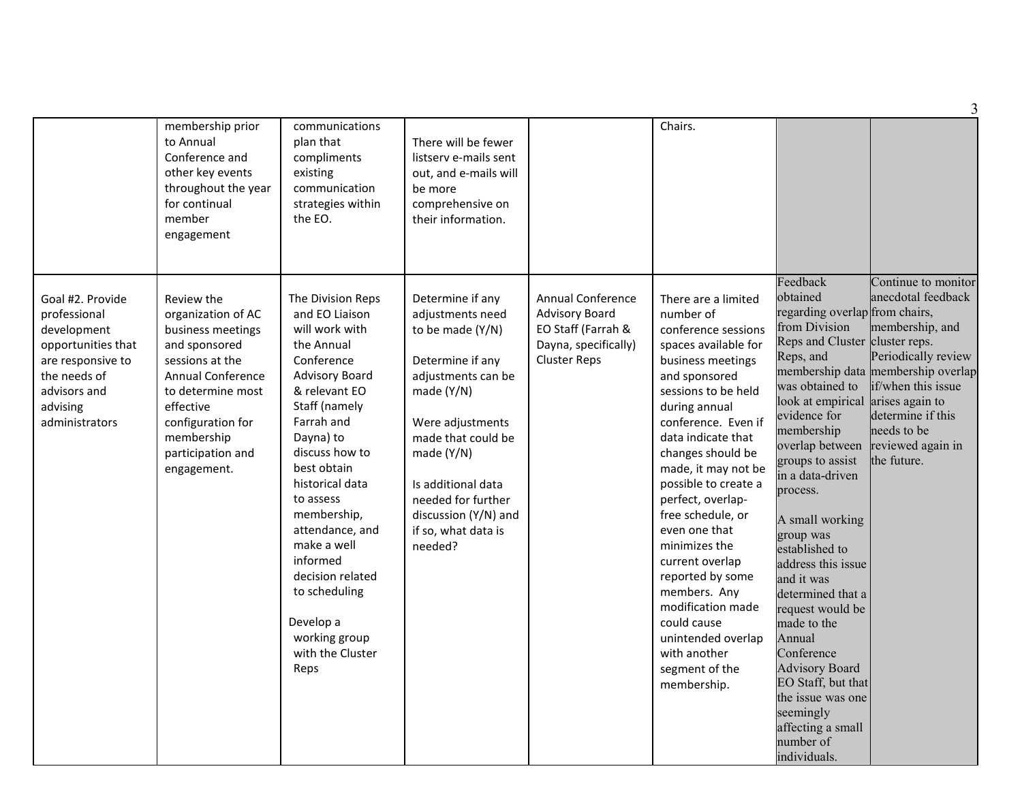|                                                                                                                                                          |                                                                                                                                                                                                                                |                                                                                                                                                                                                                                                                                                                                                                                                      |                                                                                                                                                                                                                                                                                  |                                                                                                                        |                                                                                                                                                                                                                                                                                                                                                                                                                                                                                                                              |                                                                                                                                                                                                                                                                                                                                                                                                                                                                                                                                                                                              | 3                                                                                                                                                                                                                       |
|----------------------------------------------------------------------------------------------------------------------------------------------------------|--------------------------------------------------------------------------------------------------------------------------------------------------------------------------------------------------------------------------------|------------------------------------------------------------------------------------------------------------------------------------------------------------------------------------------------------------------------------------------------------------------------------------------------------------------------------------------------------------------------------------------------------|----------------------------------------------------------------------------------------------------------------------------------------------------------------------------------------------------------------------------------------------------------------------------------|------------------------------------------------------------------------------------------------------------------------|------------------------------------------------------------------------------------------------------------------------------------------------------------------------------------------------------------------------------------------------------------------------------------------------------------------------------------------------------------------------------------------------------------------------------------------------------------------------------------------------------------------------------|----------------------------------------------------------------------------------------------------------------------------------------------------------------------------------------------------------------------------------------------------------------------------------------------------------------------------------------------------------------------------------------------------------------------------------------------------------------------------------------------------------------------------------------------------------------------------------------------|-------------------------------------------------------------------------------------------------------------------------------------------------------------------------------------------------------------------------|
|                                                                                                                                                          | membership prior<br>to Annual<br>Conference and<br>other key events<br>throughout the year<br>for continual<br>member<br>engagement                                                                                            | communications<br>plan that<br>compliments<br>existing<br>communication<br>strategies within<br>the EO.<br>.                                                                                                                                                                                                                                                                                         | There will be fewer<br>listsery e-mails sent<br>out, and e-mails will<br>be more<br>comprehensive on<br>their information.                                                                                                                                                       |                                                                                                                        | Chairs.                                                                                                                                                                                                                                                                                                                                                                                                                                                                                                                      |                                                                                                                                                                                                                                                                                                                                                                                                                                                                                                                                                                                              |                                                                                                                                                                                                                         |
| Goal #2. Provide<br>professional<br>development<br>opportunities that<br>are responsive to<br>the needs of<br>advisors and<br>advising<br>administrators | Review the<br>organization of AC<br>business meetings<br>and sponsored<br>sessions at the<br><b>Annual Conference</b><br>to determine most<br>effective<br>configuration for<br>membership<br>participation and<br>engagement. | The Division Reps<br>and EO Liaison<br>will work with<br>the Annual<br>Conference<br><b>Advisory Board</b><br>& relevant EO<br>Staff (namely<br>Farrah and<br>Dayna) to<br>discuss how to<br>best obtain<br>historical data<br>to assess<br>membership,<br>attendance, and<br>make a well<br>informed<br>decision related<br>to scheduling<br>Develop a<br>working group<br>with the Cluster<br>Reps | Determine if any<br>adjustments need<br>to be made (Y/N)<br>Determine if any<br>adjustments can be<br>made (Y/N)<br>Were adjustments<br>made that could be<br>made $(Y/N)$<br>Is additional data<br>needed for further<br>discussion (Y/N) and<br>if so, what data is<br>needed? | <b>Annual Conference</b><br><b>Advisory Board</b><br>EO Staff (Farrah &<br>Dayna, specifically)<br><b>Cluster Reps</b> | There are a limited<br>number of<br>conference sessions<br>spaces available for<br>business meetings<br>and sponsored<br>sessions to be held<br>during annual<br>conference. Even if<br>data indicate that<br>changes should be<br>made, it may not be<br>possible to create a<br>perfect, overlap-<br>free schedule, or<br>even one that<br>minimizes the<br>current overlap<br>reported by some<br>members. Any<br>modification made<br>could cause<br>unintended overlap<br>with another<br>segment of the<br>membership. | Feedback<br>obtained<br>regarding overlap from chairs,<br>from Division<br>Reps and Cluster cluster reps.<br>Reps, and<br>was obtained to<br>look at empirical arises again to<br>evidence for<br>membership<br>overlap between<br>groups to assist<br>in a data-driven<br>process.<br>A small working<br>group was<br>established to<br>address this issue<br>and it was<br>determined that a<br>request would be<br>made to the<br>Annual<br>Conference<br><b>Advisory Board</b><br>EO Staff, but that<br>the issue was one<br>seemingly<br>affecting a small<br>number of<br>individuals. | Continue to monitor<br>anecdotal feedback<br>membership, and<br>Periodically review<br>membership data membership overlap<br>if/when this issue<br>determine if this<br>needs to be<br>reviewed again in<br>the future. |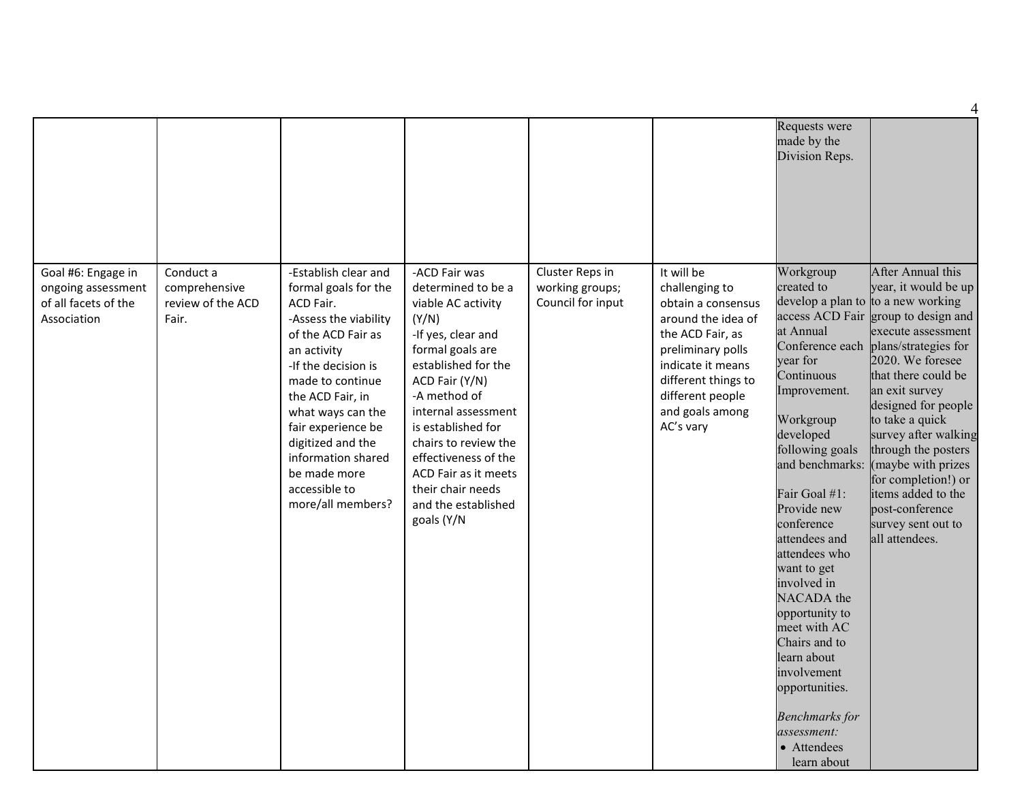| Goal #6: Engage in<br>ongoing assessment<br>of all facets of the<br>Association | Conduct a<br>comprehensive<br>review of the ACD<br>Fair. | -Establish clear and<br>formal goals for the<br>ACD Fair.<br>-Assess the viability<br>of the ACD Fair as<br>an activity<br>-If the decision is<br>made to continue<br>the ACD Fair, in | -ACD Fair was<br>determined to be a<br>viable AC activity<br>(Y/N)<br>-If yes, clear and<br>formal goals are<br>established for the<br>ACD Fair (Y/N)<br>-A method of       | Cluster Reps in<br>working groups;<br>Council for input | It will be<br>challenging to<br>obtain a consensus<br>around the idea of<br>the ACD Fair, as<br>preliminary polls<br>indicate it means<br>different things to<br>different people | Requests were<br>made by the<br>Division Reps.<br>Workgroup<br>created to<br>access ACD Fair<br>at Annual<br>Conference each<br>vear for<br>Continuous<br>Improvement.                                                                                                                                                                                            | After Annual this<br>year, it would be up<br>develop a plan to to a new working<br>group to design and<br>execute assessment<br>plans/strategies for<br>2020. We foresee<br>that there could be<br>an exit survey   |
|---------------------------------------------------------------------------------|----------------------------------------------------------|----------------------------------------------------------------------------------------------------------------------------------------------------------------------------------------|-----------------------------------------------------------------------------------------------------------------------------------------------------------------------------|---------------------------------------------------------|-----------------------------------------------------------------------------------------------------------------------------------------------------------------------------------|-------------------------------------------------------------------------------------------------------------------------------------------------------------------------------------------------------------------------------------------------------------------------------------------------------------------------------------------------------------------|---------------------------------------------------------------------------------------------------------------------------------------------------------------------------------------------------------------------|
|                                                                                 |                                                          | what ways can the<br>fair experience be<br>digitized and the<br>information shared<br>be made more<br>accessible to<br>more/all members?                                               | internal assessment<br>is established for<br>chairs to review the<br>effectiveness of the<br>ACD Fair as it meets<br>their chair needs<br>and the established<br>goals (Y/N |                                                         | and goals among<br>AC's vary                                                                                                                                                      | Workgroup<br>developed<br>following goals<br>and benchmarks:<br>Fair Goal #1:<br>Provide new<br>conference<br>attendees and<br>attendees who<br>want to get<br>involved in<br>NACADA the<br>opportunity to<br>meet with AC<br>Chairs and to<br>learn about<br>involvement<br>opportunities.<br><b>Benchmarks</b> for<br>assessment:<br>• Attendees<br>learn about | designed for people<br>to take a quick<br>survey after walking<br>through the posters<br>(maybe with prizes<br>for completion!) or<br>items added to the<br>post-conference<br>survey sent out to<br>all attendees. |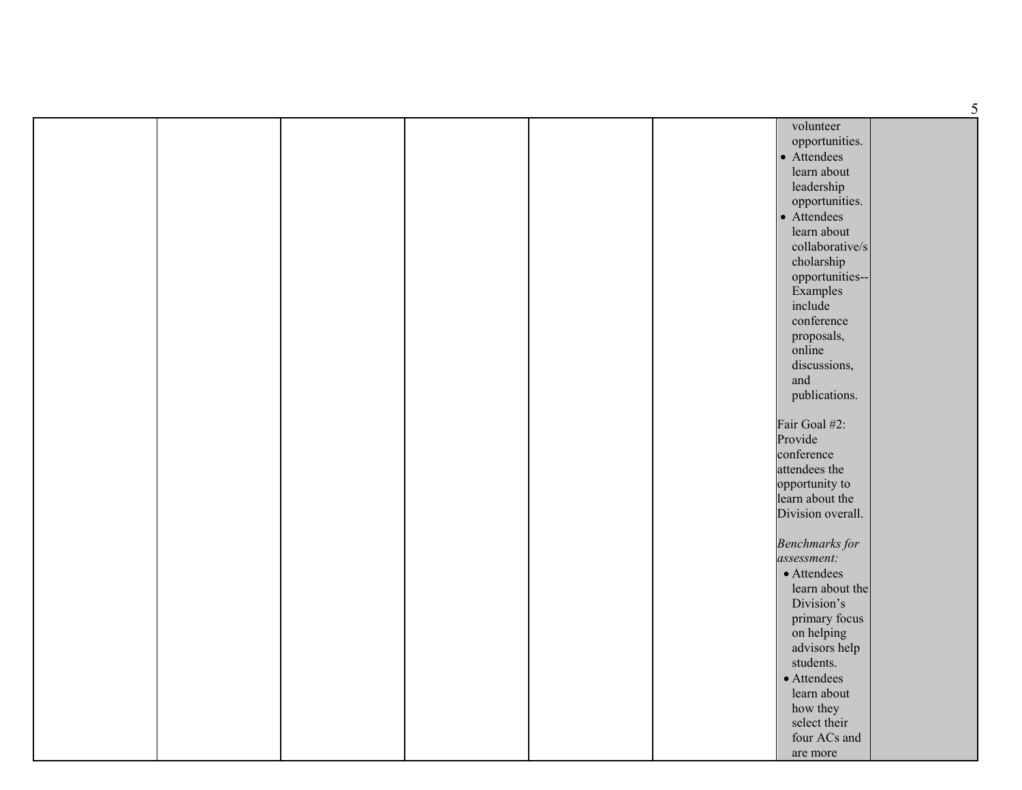|  |  |  | volunteer             |  |
|--|--|--|-----------------------|--|
|  |  |  | opportunities.        |  |
|  |  |  | • Attendees           |  |
|  |  |  | learn about           |  |
|  |  |  | leadership            |  |
|  |  |  | opportunities.        |  |
|  |  |  | • Attendees           |  |
|  |  |  | learn about           |  |
|  |  |  | collaborative/s       |  |
|  |  |  | cholarship            |  |
|  |  |  | opportunities--       |  |
|  |  |  | Examples              |  |
|  |  |  | include               |  |
|  |  |  | conference            |  |
|  |  |  | proposals,            |  |
|  |  |  | online                |  |
|  |  |  | discussions,          |  |
|  |  |  | and                   |  |
|  |  |  | publications.         |  |
|  |  |  |                       |  |
|  |  |  | Fair Goal #2:         |  |
|  |  |  | Provide               |  |
|  |  |  | conference            |  |
|  |  |  | attendees the         |  |
|  |  |  | opportunity to        |  |
|  |  |  | learn about the       |  |
|  |  |  | Division overall.     |  |
|  |  |  | <b>Benchmarks</b> for |  |
|  |  |  | assessment:           |  |
|  |  |  | • Attendees           |  |
|  |  |  | learn about the       |  |
|  |  |  | Division's            |  |
|  |  |  | primary focus         |  |
|  |  |  | on helping            |  |
|  |  |  | advisors help         |  |
|  |  |  | students.             |  |
|  |  |  | • Attendees           |  |
|  |  |  | learn about           |  |
|  |  |  | how they              |  |
|  |  |  | select their          |  |
|  |  |  | four ACs and          |  |
|  |  |  | are more              |  |
|  |  |  |                       |  |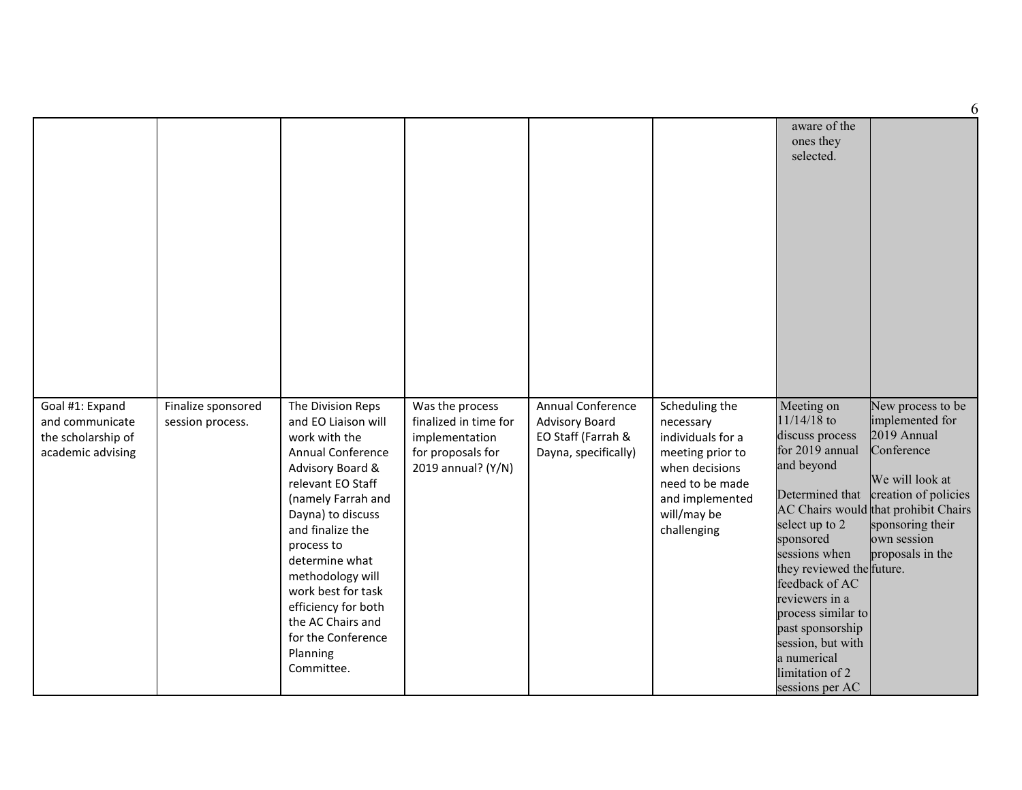|                                                                               |                                        |                                                                                                                                                                                                                                                                                                                                                                     |                                                                                                       |                                                                                          |                                                                                                                                                            |                                                                                                                                                                                                                                                                                                                      | 6                                                                                                                                                                                                                           |
|-------------------------------------------------------------------------------|----------------------------------------|---------------------------------------------------------------------------------------------------------------------------------------------------------------------------------------------------------------------------------------------------------------------------------------------------------------------------------------------------------------------|-------------------------------------------------------------------------------------------------------|------------------------------------------------------------------------------------------|------------------------------------------------------------------------------------------------------------------------------------------------------------|----------------------------------------------------------------------------------------------------------------------------------------------------------------------------------------------------------------------------------------------------------------------------------------------------------------------|-----------------------------------------------------------------------------------------------------------------------------------------------------------------------------------------------------------------------------|
|                                                                               |                                        |                                                                                                                                                                                                                                                                                                                                                                     |                                                                                                       |                                                                                          |                                                                                                                                                            | aware of the<br>ones they<br>selected.                                                                                                                                                                                                                                                                               |                                                                                                                                                                                                                             |
| Goal #1: Expand<br>and communicate<br>the scholarship of<br>academic advising | Finalize sponsored<br>session process. | The Division Reps<br>and EO Liaison will<br>work with the<br><b>Annual Conference</b><br>Advisory Board &<br>relevant EO Staff<br>(namely Farrah and<br>Dayna) to discuss<br>and finalize the<br>process to<br>determine what<br>methodology will<br>work best for task<br>efficiency for both<br>the AC Chairs and<br>for the Conference<br>Planning<br>Committee. | Was the process<br>finalized in time for<br>implementation<br>for proposals for<br>2019 annual? (Y/N) | Annual Conference<br><b>Advisory Board</b><br>EO Staff (Farrah &<br>Dayna, specifically) | Scheduling the<br>necessary<br>individuals for a<br>meeting prior to<br>when decisions<br>need to be made<br>and implemented<br>will/may be<br>challenging | Meeting on<br>$11/14/18$ to<br>discuss process<br>for 2019 annual<br>and beyond<br>select up to 2<br>sponsored<br>sessions when<br>they reviewed the future.<br>feedback of AC<br>reviewers in a<br>process similar to<br>past sponsorship<br>session, but with<br>a numerical<br>limitation of 2<br>sessions per AC | New process to be<br>implemented for<br>2019 Annual<br>Conference<br>We will look at<br>Determined that creation of policies<br>AC Chairs would that prohibit Chairs<br>sponsoring their<br>own session<br>proposals in the |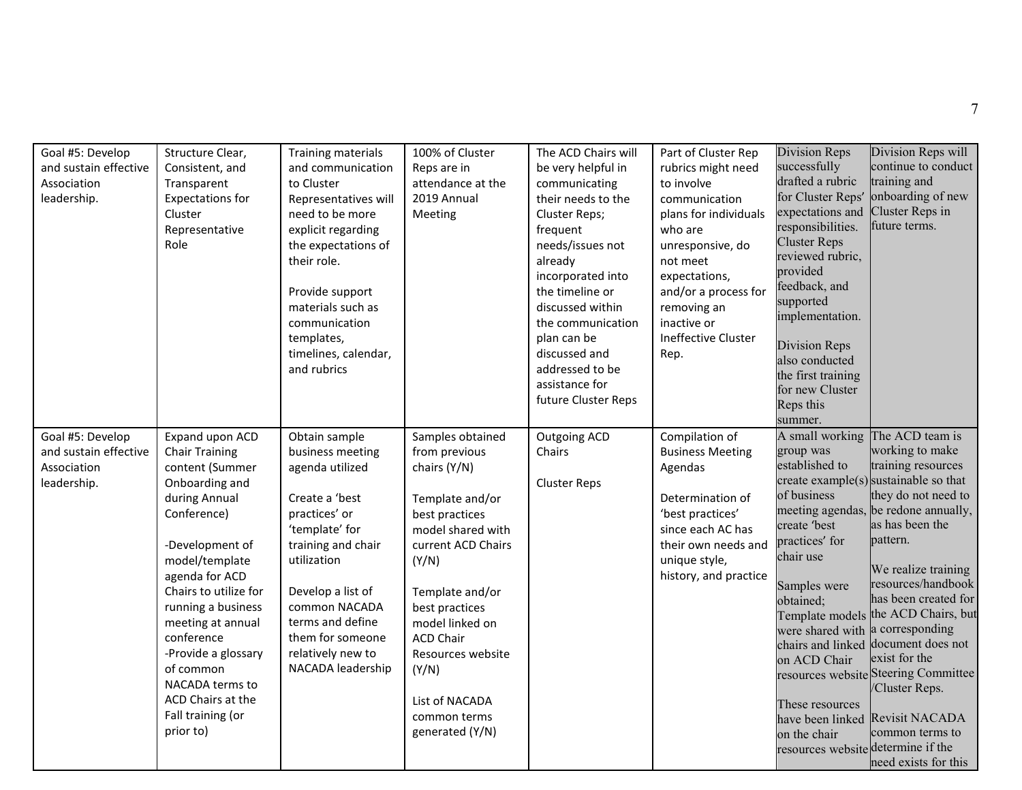| Goal #5: Develop<br>and sustain effective<br>Association<br>leadership. | Structure Clear,<br>Consistent, and<br>Transparent<br><b>Expectations for</b><br>Cluster<br>Representative<br>Role                                                                                                                                                                                                                                                   | Training materials<br>and communication<br>to Cluster<br>Representatives will<br>need to be more<br>explicit regarding<br>the expectations of<br>their role.<br>Provide support<br>materials such as<br>communication<br>templates,<br>timelines, calendar,<br>and rubrics | 100% of Cluster<br>Reps are in<br>attendance at the<br>2019 Annual<br>Meeting                                                                                                                                                                                                                             | The ACD Chairs will<br>be very helpful in<br>communicating<br>their needs to the<br>Cluster Reps;<br>frequent<br>needs/issues not<br>already<br>incorporated into<br>the timeline or<br>discussed within<br>the communication<br>plan can be<br>discussed and<br>addressed to be<br>assistance for<br>future Cluster Reps | Part of Cluster Rep<br>rubrics might need<br>to involve<br>communication<br>plans for individuals<br>who are<br>unresponsive, do<br>not meet<br>expectations,<br>and/or a process for<br>removing an<br>inactive or<br>Ineffective Cluster<br>Rep. | Division Reps<br>successfully<br>drafted a rubric<br>for Cluster Reps'<br>expectations and<br>responsibilities.<br><b>Cluster Reps</b><br>reviewed rubric,<br>provided<br>feedback, and<br>supported<br>implementation.<br>Division Reps<br>also conducted<br>the first training<br>for new Cluster<br>Reps this<br>summer. | Division Reps will<br>continue to conduct<br>training and<br>onboarding of new<br>Cluster Reps in<br>future terms.                                                                                                                                                                                                                                                                                                                                                                                                             |
|-------------------------------------------------------------------------|----------------------------------------------------------------------------------------------------------------------------------------------------------------------------------------------------------------------------------------------------------------------------------------------------------------------------------------------------------------------|----------------------------------------------------------------------------------------------------------------------------------------------------------------------------------------------------------------------------------------------------------------------------|-----------------------------------------------------------------------------------------------------------------------------------------------------------------------------------------------------------------------------------------------------------------------------------------------------------|---------------------------------------------------------------------------------------------------------------------------------------------------------------------------------------------------------------------------------------------------------------------------------------------------------------------------|----------------------------------------------------------------------------------------------------------------------------------------------------------------------------------------------------------------------------------------------------|-----------------------------------------------------------------------------------------------------------------------------------------------------------------------------------------------------------------------------------------------------------------------------------------------------------------------------|--------------------------------------------------------------------------------------------------------------------------------------------------------------------------------------------------------------------------------------------------------------------------------------------------------------------------------------------------------------------------------------------------------------------------------------------------------------------------------------------------------------------------------|
| Goal #5: Develop<br>and sustain effective<br>Association<br>leadership. | Expand upon ACD<br><b>Chair Training</b><br>content (Summer<br>Onboarding and<br>during Annual<br>Conference)<br>-Development of<br>model/template<br>agenda for ACD<br>Chairs to utilize for<br>running a business<br>meeting at annual<br>conference<br>-Provide a glossary<br>of common<br>NACADA terms to<br>ACD Chairs at the<br>Fall training (or<br>prior to) | Obtain sample<br>business meeting<br>agenda utilized<br>Create a 'best<br>practices' or<br>'template' for<br>training and chair<br>utilization<br>Develop a list of<br>common NACADA<br>terms and define<br>them for someone<br>relatively new to<br>NACADA leadership     | Samples obtained<br>from previous<br>chairs (Y/N)<br>Template and/or<br>best practices<br>model shared with<br>current ACD Chairs<br>(Y/N)<br>Template and/or<br>best practices<br>model linked on<br><b>ACD Chair</b><br>Resources website<br>(Y/N)<br>List of NACADA<br>common terms<br>generated (Y/N) | <b>Outgoing ACD</b><br>Chairs<br><b>Cluster Reps</b>                                                                                                                                                                                                                                                                      | Compilation of<br><b>Business Meeting</b><br>Agendas<br>Determination of<br>'best practices'<br>since each AC has<br>their own needs and<br>unique style,<br>history, and practice                                                                 | A small working<br>group was<br>established to<br>of business<br>create 'best<br>practices' for<br>chair use<br>Samples were<br>obtained;<br>were shared with<br>on ACD Chair<br>These resources<br>on the chair<br>resources website determine if the                                                                      | The ACD team is<br>working to make<br>training resources<br>create example(s) sustainable so that<br>they do not need to<br>meeting agendas, be redone annually,<br>as has been the<br>pattern.<br>We realize training<br>resources/handbook<br>has been created for<br>Template models the ACD Chairs, but<br>a corresponding<br>chairs and linked document does not<br>exist for the<br>resources website Steering Committee<br>/Cluster Reps.<br>have been linked Revisit NACADA<br>common terms to<br>need exists for this |